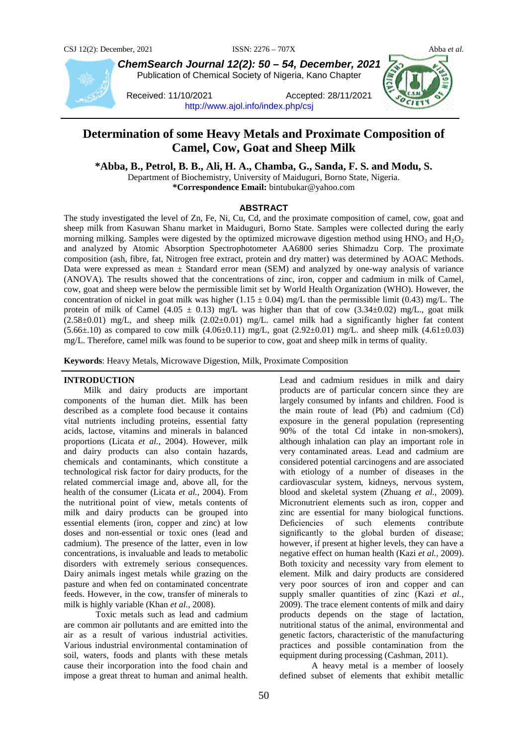

*ChemSearch Journal 12(2): 50 – 54, December, 2021* Publication of Chemical Society of Nigeria, Kano Chapter

Received: 11/10/2021 Accepted: 28/11/2021 <http://www.ajol.info/index.php/csj>

# **Determination of some Heavy Metals and Proximate Composition of Camel, Cow, Goat and Sheep Milk**

**\*Abba, B., Petrol, B. B., Ali, H. A., Chamba, G., Sanda, F. S. and Modu, S.**

Department of Biochemistry, University of Maiduguri, Borno State, Nigeria. **\*Correspondence Email:** bintubukar@yahoo.com

# **ABSTRACT**

The study investigated the level of Zn, Fe, Ni, Cu, Cd, and the proximate composition of camel, cow, goat and sheep milk from Kasuwan Shanu market in Maiduguri, Borno State. Samples were collected during the early morning milking. Samples were digested by the optimized microwave digestion method using  $HNO<sub>3</sub>$  and  $H<sub>2</sub>O<sub>2</sub>$ and analyzed by Atomic Absorption Spectrophotometer AA6800 series Shimadzu Corp. The proximate composition (ash, fibre, fat, Nitrogen free extract, protein and dry matter) was determined by AOAC Methods. Data were expressed as mean  $\pm$  Standard error mean (SEM) and analyzed by one-way analysis of variance (ANOVA). The results showed that the concentrations of zinc, iron, copper and cadmium in milk of Camel, cow, goat and sheep were below the permissible limit set by World Health Organization (WHO). However, the concentration of nickel in goat milk was higher (1.15  $\pm$  0.04) mg/L than the permissible limit (0.43) mg/L. The protein of milk of Camel (4.05  $\pm$  0.13) mg/L was higher than that of cow (3.34 $\pm$ 0.02) mg/L., goat milk  $(2.58\pm0.01)$  mg/L, and sheep milk  $(2.02\pm0.01)$  mg/L. camel milk had a significantly higher fat content  $(5.66±.10)$  as compared to cow milk  $(4.06±0.11)$  mg/L, goat  $(2.92±0.01)$  mg/L. and sheep milk  $(4.61±0.03)$ mg/L. Therefore, camel milk was found to be superior to cow, goat and sheep milk in terms of quality.

**Keywords**: Heavy Metals, Microwave Digestion, Milk, Proximate Composition

### **INTRODUCTION**

 Milk and dairy products are important components of the human diet. Milk has been described as a complete food because it contains vital nutrients including proteins, essential fatty acids, lactose, vitamins and minerals in balanced proportions (Licata *et al.,* 2004). However, milk and dairy products can also contain hazards, chemicals and contaminants, which constitute a technological risk factor for dairy products, for the related commercial image and, above all, for the health of the consumer (Licata *et al.,* 2004). From the nutritional point of view, metals contents of milk and dairy products can be grouped into essential elements (iron, copper and zinc) at low doses and non-essential or toxic ones (lead and cadmium). The presence of the latter, even in low concentrations, is invaluable and leads to metabolic disorders with extremely serious consequences. Dairy animals ingest metals while grazing on the pasture and when fed on contaminated concentrate feeds. However, in the cow, transfer of minerals to milk is highly variable (Khan *et al.,* 2008).

Toxic metals such as lead and cadmium are common air pollutants and are emitted into the air as a result of various industrial activities. Various industrial environmental contamination of soil, waters, foods and plants with these metals cause their incorporation into the food chain and impose a great threat to human and animal health.

Lead and cadmium residues in milk and dairy products are of particular concern since they are largely consumed by infants and children. Food is the main route of lead (Pb) and cadmium (Cd) exposure in the general population (representing 90% of the total Cd intake in non-smokers), although inhalation can play an important role in very contaminated areas. Lead and cadmium are considered potential carcinogens and are associated with etiology of a number of diseases in the cardiovascular system, kidneys, nervous system, blood and skeletal system (Zhuang *et al.,* 2009). Micronutrient elements such as iron, copper and zinc are essential for many biological functions.<br>Deficiencies of such elements contribute Deficiencies of such elements contribute significantly to the global burden of disease; however, if present at higher levels, they can have a negative effect on human health (Kazi *et al.,* 2009). Both toxicity and necessity vary from element to element. Milk and dairy products are considered very poor sources of iron and copper and can supply smaller quantities of zinc (Kazi *et al.,* 2009). The trace element contents of milk and dairy products depends on the stage of lactation, nutritional status of the animal, environmental and genetic factors, characteristic of the manufacturing practices and possible contamination from the equipment during processing (Cashman, 2011).

A heavy metal is a member of loosely defined subset of elements that exhibit metallic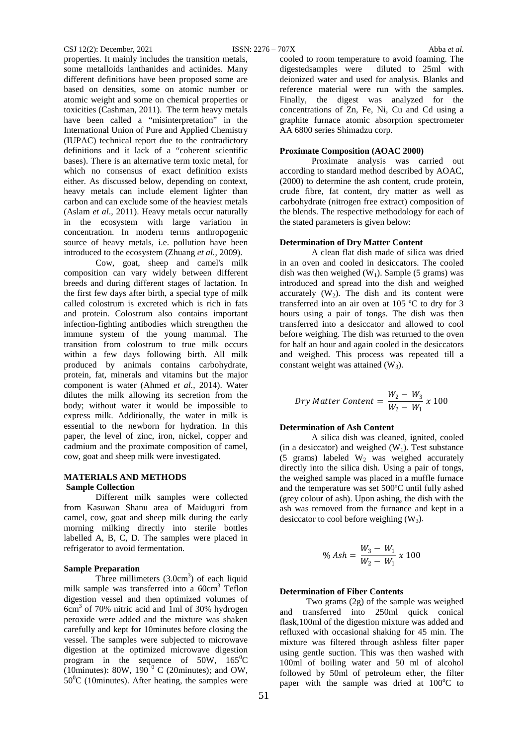properties. It mainly includes the transition metals, some metalloids lanthanides and actinides. Many different definitions have been proposed some are based on densities, some on atomic number or atomic weight and some on chemical properties or toxicities (Cashman, 2011). The term heavy metals have been called a "misinterpretation" in the International Union of Pure and Applied Chemistry (IUPAC) technical report due to the contradictory definitions and it lack of a "coherent scientific bases). There is an alternative term toxic metal, for which no consensus of exact definition exists either. As discussed below, depending on context, heavy metals can include element lighter than carbon and can exclude some of the heaviest metals (Aslam *et al*., 2011). Heavy metals occur naturally in the ecosystem with large variation in concentration. In modern terms anthropogenic source of heavy metals, i.e. pollution have been introduced to the ecosystem (Zhuang *et al.,* 2009).

Cow, goat, sheep and camel's milk composition can vary widely between different breeds and during different stages of lactation. In the first few days after birth, a special type of milk called colostrum is excreted which is rich in fats and protein. Colostrum also contains important infection-fighting antibodies which strengthen the immune system of the young mammal. The transition from colostrum to true milk occurs within a few days following birth. All milk produced by animals contains carbohydrate, protein, fat, minerals and vitamins but the major component is water (Ahmed *et al.,* 2014). Water dilutes the milk allowing its secretion from the body; without water it would be impossible to express milk. Additionally, the water in milk is essential to the newborn for hydration. In this paper, the level of zinc, iron, nickel, copper and cadmium and the proximate composition of camel, cow, goat and sheep milk were investigated.

### **MATERIALS AND METHODS Sample Collection**

Different milk samples were collected from Kasuwan Shanu area of Maiduguri from camel, cow, goat and sheep milk during the early morning milking directly into sterile bottles labelled A, B, C, D. The samples were placed in refrigerator to avoid fermentation.

### **Sample Preparation**

Three millimeters  $(3.0cm<sup>3</sup>)$  of each liquid milk sample was transferred into a 60cm<sup>3</sup> Teflon digestion vessel and then optimized volumes of 6cm3 of 70% nitric acid and 1ml of 30% hydrogen peroxide were added and the mixture was shaken carefully and kept for 10minutes before closing the vessel. The samples were subjected to microwave digestion at the optimized microwave digestion program in the sequence of  $50W$ ,  $165^{\circ}C$ (10minutes): 80W,  $190^{\degree}$  C (20minutes); and OW,  $50^0$ C (10minutes). After heating, the samples were cooled to room temperature to avoid foaming. The digestedsamples were diluted to 25ml with deionized water and used for analysis. Blanks and reference material were run with the samples. Finally, the digest was analyzed for the concentrations of Zn, Fe, Ni, Cu and Cd using a graphite furnace atomic absorption spectrometer AA 6800 series Shimadzu corp.

### **Proximate Composition (AOAC 2000)**

Proximate analysis was carried out according to standard method described by AOAC, (2000) to determine the ash content, crude protein, crude fibre, fat content, dry matter as well as carbohydrate (nitrogen free extract) composition of the blends. The respective methodology for each of the stated parameters is given below:

### **Determination of Dry Matter Content**

A clean flat dish made of silica was dried in an oven and cooled in desiccators. The cooled dish was then weighed  $(W_1)$ . Sample (5 grams) was introduced and spread into the dish and weighed accurately  $(W_2)$ . The dish and its content were transferred into an air oven at 105 ºC to dry for 3 hours using a pair of tongs. The dish was then transferred into a desiccator and allowed to cool before weighing. The dish was returned to the oven for half an hour and again cooled in the desiccators and weighed. This process was repeated till a constant weight was attained  $(W_3)$ .

$$
Dry\, Matter\; Content = \frac{W_2 - W_3}{W_2 - W_1} \; x \; 100
$$

### **Determination of Ash Content**

A silica dish was cleaned, ignited, cooled (in a desiccator) and weighed  $(W_1)$ . Test substance (5 grams) labeled  $W_2$  was weighed accurately directly into the silica dish. Using a pair of tongs, the weighed sample was placed in a muffle furnace and the temperature was set 500ºC until fully ashed (grey colour of ash). Upon ashing, the dish with the ash was removed from the furnance and kept in a desiccator to cool before weighing  $(W_3)$ .

$$
\% Ash = \frac{W_3 - W_1}{W_2 - W_1} \times 100
$$

### **Determination of Fiber Contents**

 Two grams (2g) of the sample was weighed and transferred into 250ml quick conical flask,100ml of the digestion mixture was added and refluxed with occasional shaking for 45 min. The mixture was filtered through ashless filter paper using gentle suction. This was then washed with 100ml of boiling water and 50 ml of alcohol followed by 50ml of petroleum ether, the filter paper with the sample was dried at  $100^{\circ}$ C to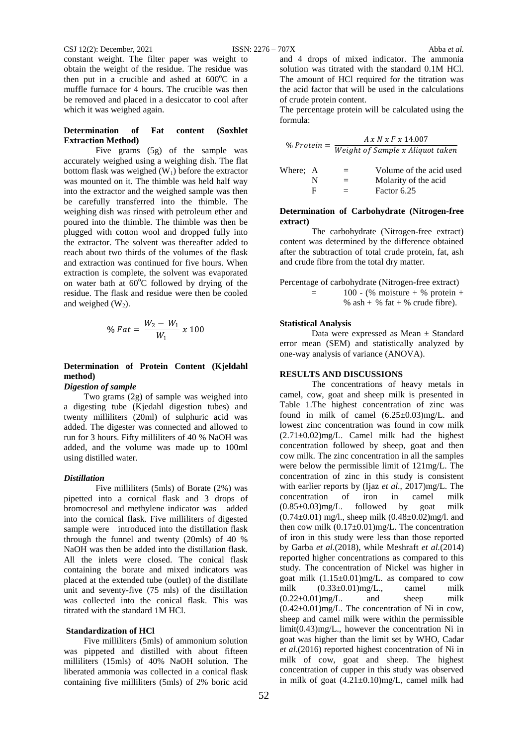constant weight. The filter paper was weight to obtain the weight of the residue. The residue was then put in a crucible and ashed at  $600^{\circ}$ C in a muffle furnace for 4 hours. The crucible was then be removed and placed in a desiccator to cool after which it was weighed again.

### **Determination of Fat content (Soxhlet Extraction Method)**

Five grams (5g) of the sample was accurately weighed using a weighing dish. The flat bottom flask was weighed  $(W_1)$  before the extractor was mounted on it. The thimble was held half way into the extractor and the weighed sample was then be carefully transferred into the thimble. The weighing dish was rinsed with petroleum ether and poured into the thimble. The thimble was then be plugged with cotton wool and dropped fully into the extractor. The solvent was thereafter added to reach about two thirds of the volumes of the flask and extraction was continued for five hours. When extraction is complete, the solvent was evaporated on water bath at 60°C followed by drying of the residue. The flask and residue were then be cooled and weighed  $(W_2)$ .

$$
\% \, Fat = \frac{W_2 - W_1}{W_1} \, x \, 100
$$

# **Determination of Protein Content (Kjeldahl method)**

# *Digestion of sample*

 Two grams (2g) of sample was weighed into a digesting tube (Kjedahl digestion tubes) and twenty milliliters (20ml) of sulphuric acid was added. The digester was connected and allowed to run for 3 hours. Fifty milliliters of 40 % NaOH was added, and the volume was made up to 100ml using distilled water.

#### *Distillation*

Five milliliters (5mls) of Borate (2%) was pipetted into a cornical flask and 3 drops of bromocresol and methylene indicator was added into the cornical flask. Five milliliters of digested sample were introduced into the distillation flask through the funnel and twenty (20mls) of 40 % NaOH was then be added into the distillation flask. All the inlets were closed. The conical flask containing the borate and mixed indicators was placed at the extended tube (outlet) of the distillate unit and seventy-five (75 mls) of the distillation was collected into the conical flask. This was titrated with the standard 1M HCl.

#### **Standardization of HCl**

 Five milliliters (5mls) of ammonium solution was pippeted and distilled with about fifteen milliliters (15mls) of 40% NaOH solution. The liberated ammonia was collected in a conical flask containing five milliliters (5mls) of 2% boric acid

and 4 drops of mixed indicator. The ammonia solution was titrated with the standard 0.1M HCl. The amount of HCl required for the titration was the acid factor that will be used in the calculations of crude protein content.

The percentage protein will be calculated using the formula:

| $%$ Protein $=$ | A x N x F x 14.007               |  |  |
|-----------------|----------------------------------|--|--|
|                 | Weight of Sample x Aliquot taken |  |  |

| Where: A |   | $=$      | Volume of the acid used |
|----------|---|----------|-------------------------|
|          | N |          | Molarity of the acid    |
|          |   | $\equiv$ | Factor 6.25             |

### **Determination of Carbohydrate (Nitrogen-free extract)**

The carbohydrate (Nitrogen-free extract) content was determined by the difference obtained after the subtraction of total crude protein, fat, ash and crude fibre from the total dry matter.

| Percentage of carbohydrate (Nitrogen-free extract) |                                 |  |  |  |  |
|----------------------------------------------------|---------------------------------|--|--|--|--|
| $=$                                                | 100 - (% moisture + % protein + |  |  |  |  |
|                                                    | % ash + % fat + % crude fibre). |  |  |  |  |

#### **Statistical Analysis**

Data were expressed as Mean ± Standard error mean (SEM) and statistically analyzed by one-way analysis of variance (ANOVA).

# **RESULTS AND DISCUSSIONS**

The concentrations of heavy metals in camel, cow, goat and sheep milk is presented in Table 1.The highest concentration of zinc was found in milk of camel  $(6.25\pm0.03)$ mg/L. and lowest zinc concentration was found in cow milk  $(2.71\pm0.02)$ mg/L. Camel milk had the highest concentration followed by sheep, goat and then cow milk. The zinc concentration in all the samples were below the permissible limit of 121mg/L. The concentration of zinc in this study is consistent with earlier reports by (Ijaz *et al*., 2017)mg/L. The concentration of iron in camel milk  $(0.85\pm0.03)$ mg/L. followed by goat milk  $(0.74\pm0.01)$  mg/l., sheep milk  $(0.48\pm0.02)$ mg/l. and then cow milk  $(0.17 \pm 0.01)$ mg/L. The concentration of iron in this study were less than those reported by Garba *et al.*(2018), while Meshraft *et al.*(2014) reported higher concentrations as compared to this study. The concentration of Nickel was higher in goat milk  $(1.15\pm0.01)$ mg/L. as compared to cow milk (0.33±0.01)mg/L., camel milk  $(0.22\pm0.01)$ mg/L. and sheep milk  $(0.42\pm0.01)$ mg/L. The concentration of Ni in cow, sheep and camel milk were within the permissible limit(0.43)mg/L., however the concentration Ni in goat was higher than the limit set by WHO, Cadar *et al*.(2016) reported highest concentration of Ni in milk of cow, goat and sheep. The highest concentration of cupper in this study was observed in milk of goat (4.21±0.10)mg/L, camel milk had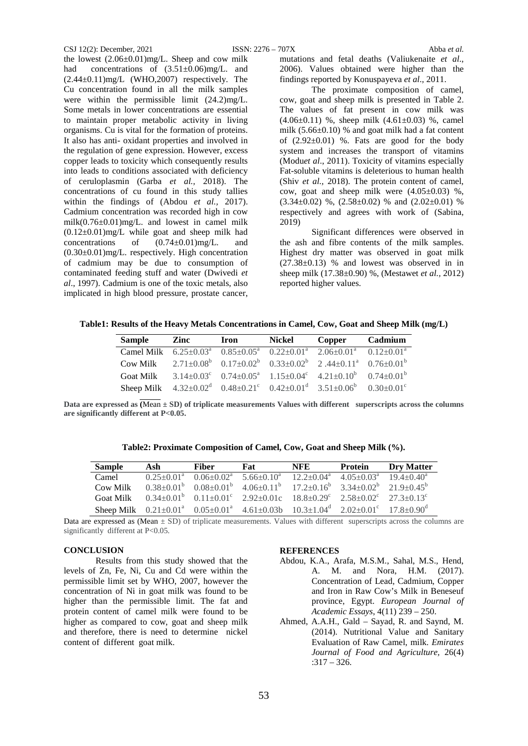### CSJ 12(2): December, 2021 ISSN: 2276 – 707X Abba *et al.*

the lowest  $(2.06\pm0.01)$ mg/L. Sheep and cow milk had concentrations of  $(3.51\pm0.06)$  mg/L. and  $(2.44\pm0.11)$ mg/L (WHO,2007) respectively. The Cu concentration found in all the milk samples were within the permissible limit (24.2)mg/L. Some metals in lower concentrations are essential to maintain proper metabolic activity in living organisms. Cu is vital for the formation of proteins. It also has anti- oxidant properties and involved in the regulation of gene expression. However, excess copper leads to toxicity which consequently results into leads to conditions associated with deficiency of ceruloplasmin (Garba *et al.,* 2018). The concentrations of cu found in this study tallies within the findings of (Abdou *et al.,* 2017). Cadmium concentration was recorded high in cow milk $(0.76\pm0.01)$ mg/L. and lowest in camel milk  $(0.12\pm0.01)$ mg/L while goat and sheep milk had concentrations of (0.74±0.01)mg/L. and (0.30±0.01)mg/L. respectively. High concentration of cadmium may be due to consumption of contaminated feeding stuff and water (Dwivedi *et al*., 1997). Cadmium is one of the toxic metals, also implicated in high blood pressure, prostate cancer,

mutations and fetal deaths (Valiukenaite *et al*., 2006). Values obtained were higher than the findings reported by Konuspayeva *et al*., 2011.

The proximate composition of camel, cow, goat and sheep milk is presented in Table 2. The values of fat present in cow milk was (4.06±0.11) %, sheep milk (4.61±0.03) %, camel milk  $(5.66\pm0.10)$  % and goat milk had a fat content of  $(2.92\pm0.01)$  %. Fats are good for the body system and increases the transport of vitamins (Modu*et al*., 2011). Toxicity of vitamins especially Fat-soluble vitamins is deleterious to human health (Shiv *et al.,* 2018). The protein content of camel, cow, goat and sheep milk were  $(4.05\pm0.03)$  %.  $(3.34\pm0.02)$  %,  $(2.58\pm0.02)$  % and  $(2.02\pm0.01)$  % respectively and agrees with work of (Sabina, 2019)

Significant differences were observed in the ash and fibre contents of the milk samples. Highest dry matter was observed in goat milk  $(27.38\pm0.13)$  % and lowest was observed in in sheep milk (17.38±0.90) %, (Mestawet *et al.,* 2012) reported higher values.

**Table1: Results of the Heavy Metals Concentrations in Camel, Cow, Goat and Sheep Milk (mg/L)**

| <b>Sample</b>    | Zinc | Iron | <b>Nickel</b> | Copper                                                                                                                  | Cadmium |
|------------------|------|------|---------------|-------------------------------------------------------------------------------------------------------------------------|---------|
|                  |      |      |               | Camel Milk $6.25 \pm 0.03^a$ $0.85 \pm 0.05^a$ $0.22 \pm 0.01^a$ $2.06 \pm 0.01^a$ $0.12 \pm 0.01^a$                    |         |
| Cow Milk         |      |      |               | $2.71\pm0.08^b$ $0.17\pm0.02^b$ $0.33\pm0.02^b$ $2.44\pm0.11^a$ $0.76\pm0.01^b$                                         |         |
| <b>Goat Milk</b> |      |      |               | $3.14 \pm 0.03^{\circ}$ $0.74 \pm 0.05^{\circ}$ $1.15 \pm 0.04^{\circ}$ $4.21 \pm 0.10^{\circ}$ $0.74 \pm 0.01^{\circ}$ |         |
|                  |      |      |               | Sheep Milk $4.32 \pm 0.02^d$ $0.48 \pm 0.21^c$ $0.42 \pm 0.01^d$ $3.51 \pm 0.06^b$ $0.30 \pm 0.01^c$                    |         |

Data are expressed as  $\overline{(Mean \pm SD)}$  of triplicate measurements Values with different superscripts across the columns **are significantly different at P<0.05.**

| Table2: Proximate Composition of Camel, Cow, Goat and Sheep Milk (%). |  |
|-----------------------------------------------------------------------|--|
|                                                                       |  |

| <b>Sample</b>    | Ash | Fiber | Fat                                                                                                                                 | NFE | <b>Protein</b> | <b>Dry Matter</b> |
|------------------|-----|-------|-------------------------------------------------------------------------------------------------------------------------------------|-----|----------------|-------------------|
| Camel            |     |       | $0.25+0.01^a$ $0.06+0.02^a$ $5.66+0.10^a$ $12.2+0.04^a$ $4.05+0.03^a$ $19.4+0.40^a$                                                 |     |                |                   |
| Cow Milk         |     |       | $0.38\pm0.01^{\circ}$ $0.08\pm0.01^{\circ}$ $4.06\pm0.11^{\circ}$ $17.2\pm0.16^{\circ}$ $3.34\pm0.02^{\circ}$ $21.9\pm0.45^{\circ}$ |     |                |                   |
| <b>Goat Milk</b> |     |       | $0.34\pm0.01^{\circ}$ $0.11\pm0.01^{\circ}$ $2.92\pm0.01c$ $18.8\pm0.29^{\circ}$ $2.58\pm0.02^{\circ}$ $27.3\pm0.13^{\circ}$        |     |                |                   |
|                  |     |       | Sheep Milk $0.21 \pm 0.01^a$ $0.05 \pm 0.01^a$ $4.61 \pm 0.03b$ $10.3 \pm 1.04^d$ $2.02 \pm 0.01^c$ $17.8 \pm 0.90^d$               |     |                |                   |

Data are expressed as (Mean  $\pm$  SD) of triplicate measurements. Values with different superscripts across the columns are significantly different at P<0.05.

# **CONCLUSION**

Results from this study showed that the levels of Zn, Fe, Ni, Cu and Cd were within the permissible limit set by WHO, 2007, however the concentration of Ni in goat milk was found to be higher than the permissible limit. The fat and protein content of camel milk were found to be higher as compared to cow, goat and sheep milk and therefore, there is need to determine nickel content of different goat milk.

# **REFERENCES**

- Abdou, K.A., Arafa, M.S.M., Sahal, M.S., Hend, A. M. and Nora, H.M. (2017). Concentration of Lead, Cadmium, Copper and Iron in Raw Cow's Milk in Beneseuf province, Egypt. *European Journal of Academic Essays*, 4(11) 239 – 250.
- Ahmed, A.A.H., Gald Sayad, R. and Saynd, M. (2014). Nutritional Value and Sanitary Evaluation of Raw Camel, milk. *Emirates Journal of Food and Agriculture,* 26(4) :317 – 326.